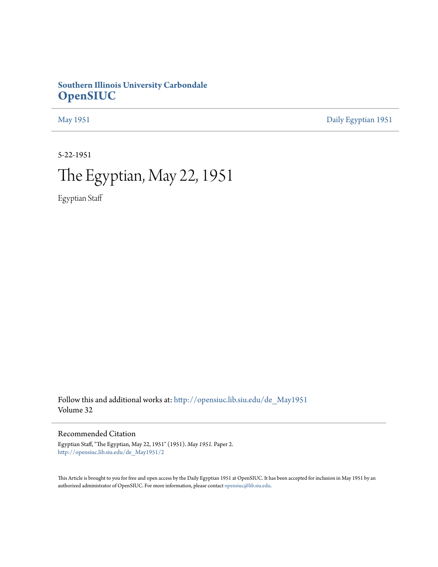## **Southern Illinois University Carbondale [OpenSIUC](http://opensiuc.lib.siu.edu?utm_source=opensiuc.lib.siu.edu%2Fde_May1951%2F2&utm_medium=PDF&utm_campaign=PDFCoverPages)**

[May 1951](http://opensiuc.lib.siu.edu/de_May1951?utm_source=opensiuc.lib.siu.edu%2Fde_May1951%2F2&utm_medium=PDF&utm_campaign=PDFCoverPages) [Daily Egyptian 1951](http://opensiuc.lib.siu.edu/de_1951?utm_source=opensiuc.lib.siu.edu%2Fde_May1951%2F2&utm_medium=PDF&utm_campaign=PDFCoverPages)

5-22-1951

# The Egyptian, May 22, 1951

Egyptian Staff

Follow this and additional works at: [http://opensiuc.lib.siu.edu/de\\_May1951](http://opensiuc.lib.siu.edu/de_May1951?utm_source=opensiuc.lib.siu.edu%2Fde_May1951%2F2&utm_medium=PDF&utm_campaign=PDFCoverPages) Volume 32

Recommended Citation

Egyptian Staff, "The Egyptian, May 22, 1951" (1951). *May 1951.* Paper 2. [http://opensiuc.lib.siu.edu/de\\_May1951/2](http://opensiuc.lib.siu.edu/de_May1951/2?utm_source=opensiuc.lib.siu.edu%2Fde_May1951%2F2&utm_medium=PDF&utm_campaign=PDFCoverPages)

This Article is brought to you for free and open access by the Daily Egyptian 1951 at OpenSIUC. It has been accepted for inclusion in May 1951 by an authorized administrator of OpenSIUC. For more information, please contact [opensiuc@lib.siu.edu](mailto:opensiuc@lib.siu.edu).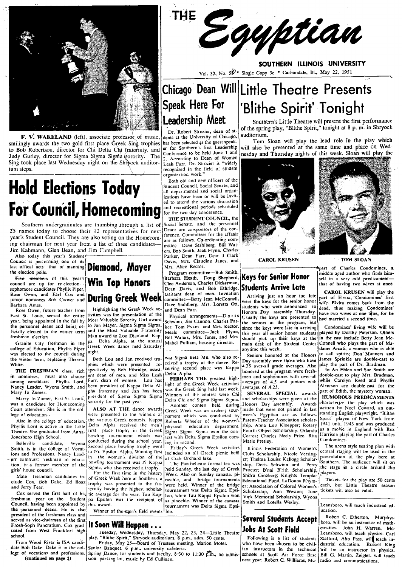

F. V. WAKELAND (left), associate professor of music, smilingly awards the two gold first place Greek Sing trophies to Bob Robertson, director for Chi Delta Chi fraternity, and Judy Gurley, director for Sigma Sigma Sigma (sorority. The Sing took place last Wednesday night on the Shrwock auditorium steps.

# **Hold Elections Today For Council, Homecoming**

Southern undergraduates are thumbing through a list of  $25$  names today to choose their  $12$  representatives for next year's Student Council. They are also voting on the Homecom-<br>lightness com-<br>ing chairman for next year from a list of three candidates— mittee—Dave Stahiberg, Bill Wating chairman for next year from a list of three candidates—Irities—Dave Stahlberg, Bill Wat-<br>Jim Kahmann, Glen Bean, and Jim Campbell.<br>There, Bob Smith, Jack Flynn, Charles

Also today this year's Student **France Council is performing one of its** Distribution of manning **Diamond, Mayer** Davis, Mrs. Claudine Janes, and **CAROL KRUSEN** TOM SLOAN TOM SLOAN ...

sophomore candidates Phyllis Piper. The contract of the contract of the play the contract of the contract of the contract of the contract of the contract of the contract of the contract of the contract of the contract of t

Rose Owen, future teacher from Figures and Dean Farmer and Dean Farmer and The Honors Day assembly Thursday. The way we are one time, for he<br>East St. Louis, served the entire livities was the presentation of the Physical year, being appointed in the fall by Most Valuable Scrotly Girl award Schwinn, Jim Cannon, Charles Par-<br>the personnel deans and being of 10 Jan Mayer, Sigma Sigma Sigma, ker, Tom Evans, and Mrs. Rector. since the keys were

was elected to the council during night.<br>
the winter term, replacing Theresa Both Lou and Jan received tro- was Sigma Beta Mu, who also re-<br>
The winter term, replacing Theresa and Both Lou and Jan received tro- was Sigma B

in nominees, must also choose among candidates Phyllis Lord, Nancy Leader. Wyona Smith, and Mary Jo Zumer.

Marry Jo Zumer, East St. Louis, was a candidate for Humecoming Court attendent, She is in the col~ lege of education...<br>Also in the college of education,

the personnel deans. He is also winner of the men's field events ion.<br>
president of the freshman class and **instructor of the first event of the first of the first event of math-**<br> **Several Students Accept** be an instructo

# the election polls. Program committee-Bob Smith,  $\frac{P_{\text{part}}}{P_{\text{top}}P_{\text{opt}}P_{\text{opt}}}$  and the election polls.

France City from the annual Mabel Pulliam, housing director.<br>Greek Week dance held Saturday Mabel Pulliam, housing director. main desk of the Student Center Connell who plays the part of Ma-<br>anviime this week.

THE FRESHMAN class, rich spectively by Bob Ethridge, assist- ceiving second place was rappart honored at the program were fresh-<br>nominees, must also choose and dean of moment and Miss Leah DeRHAPS THE greatest high- men an ant dean of men, and Miss Leah Delta Alpha.<br>Farr, dean of women. Lou has **PERHAPS THE** greatest high-<br>heen president of Kanna Delta AL light of the Greek Week activities ant dean of men, and Miss Leah Delta Alpha.<br>
FERHAPS THE greatest high-<br>
per president of Kappa Delta Al-<br>
light of the Greek Week activities averages of 4.5 and juniors with over-all double-cast to play Mrs. Bradman,<br>
pha pha. fraternity and Jan has been was the Greek Sing held last week; averages of 4.25.<br>
president of Edith, the mystery woman.<br>
president of Sigma Sigma Sigma Sigma Sigma Sigma Sigma Sigma Sigma Sigma Sigma Sigma Sigma Sigm

Belleville candidate, Wyona conducted during the school year. Ing in second. Smith, is in the college of Vocat. Second place bowling trophy went! Friday's Greek Week activities Illinois Federation of Women's The arena styl Second place bowling trophy went!" Friday's Greek Week activities Illinois Federation of Women's The arena style seating plan with<br>Johns and Professions. Nancy Lead- to Nu Epsilon Alpha. Winning first included an all Greek

Frosh-Soph Pancratium. Cox grad- **If Soon Will Happen...**<br>
uated from West Frankfort high<br>
ruesday, Wednesday, Thursday, May 22, 23, 24—Little Theatre **Jobs At Scott Field**<br>
From Wood River is ISA cand<br>
play, "Blithe Spiri served as vice-chairman of the first<br>
Frankfort high **Execution Community of the Soon Will Happen...**<br>
Frankfort high Tuesday, Wednesday, Thursday, May 22, 23, 24—Little Theatre Jobs Af Scott Field rematics. John H. Warren School.<br>From Wood River is ISA candi- Friday. May 25—Board of Trustees meeting. Marion Motel. Who have been chosen to be civil- dustrial education. Russell King<br>Late Bob Dake. Dake in the col- Senior Banquet, 6 p.m., unive

f vocations and professions. Spring Dance, for students and faculty, 8:30 to 11:30 p.m., no admis- schools at Scott Air Force Base Bill G. Martin, Zeigler, will teach (continued on page 2) sion, parking lot, music by Ed Cu



SOUTHERN ILLINOIS UNIVERSITY Vol. 32, No.  $5\overline{\mathcal{V}}$  \* Single Copy 3c \* Carbondale, Ill., May 22, 1951

# Leadership Meet

'Dr. Robert Strozier, dean of stdents at the University of Chicago, has been selected as the guest speaker for Southern's first Leadership Conference to be held June I and 2. According to Dean of Women<br>Leah Farr, Dr. Strozier is "widely<br>recognized in the field of student organization work,"

Both old and new officers *oj* the Student Council. Social Senate. and all departmental and social organizations have been or will be invitcd to attend the various discussion and recreational periods scheduled for the two day conderence.

THE STUDENT COUNCIL, the 12 Senate, and the personnel<br>Deans are co-sponsors of the con-<br>ference. Committees for the affaair Jim Kahmann, Glen Bean, and Jim Campbell. (1986) Smith, Jack Flynn, Charles<br>Also today this year's Student (1996) Smith, Jack Flynn, Charles m Kahmann, Glen Bean, and Jim Campbell. The state of the Parker, Dean Farr, Dean I Clark<br>Also today this year's Student ... The Parker, Dean Farr, Dean I Clark<br>Dean Farr, Dean I Clark

the election polis.<br>
Free members of this year's **Win Top Honors**<br>
Submorthe Bob Smith, Doug Shepherd, **Keys for Senior Honor**<br>
Submorthe and Barbara Heath, Doug Shepherd, **Keys for Senior Honor**<br>
Submorthe Submorter and B Rose Owen, and Earl Cox and **During Greek Week** Massistant dean of men. Invitation and the content of the legislation of the content of the content of the content of the content of the content of the content of the content

Bill Waters, Mrs. Janes, and Mrs. should pick up their keys at the<br>Mabel Pulliam, housing director. main desk of the Student Center

phies which were presented re- ccived a trophy at the dance. Re-<br>spectively by Bob Ethridge, assist-ceiving second place was Kappa

a conditional and during Honors Day assessmently and contract and during Honors Day assessment of the contract and the contract and the contract and the contract of the various Greek was and a conducted by week's Egyptian Theatre. She graduated from Anna-<br>Jonesboro High School. bowling tournament which was test with Delta Sigma Epsilon com-<br>Belleville candidate, Wyona contract structure of Charles Meet Prize, Rita Harrison playing the part

Male freshman candidates in-<br>
clude Cox, Bob Dake, Ed Boaz trophy was presented to the fra- were held. Winner of the bridge tournaments Educational Fund, LaDonna Rhym-<br>
and Jerry Fear. (ernity having the highest scholas- t Council particle in the Student particle in the recipient of at pinochle. Winner of the canasta Smith and Lotella Wesley.

## Chicago' Dean Will Little Theatre Presents Speak Here For | 'Blithe Spirit' Tonight

Southern's Little Theatre will present the first performance of the spring play, "Blithe Spirit," tonight at 8 p. m. in Shryock

auditorium.<br>
Tom Sloan will play the lead role in the play which will also be presented at the same time and place on Wednesday and Thursday nights of this week. Sloan will play the





CAROL KRUSEN TOM SLOAN

Barbara Ames.<br>Barbara Ames. Dave Stahlberg. Mrs. Loretta Ott, students who were announced in dead, thus making Condomines'<br>Rose Owen, future teacher from the condomines' in deal of the students was the Stahlberg. Mrs. Lore

the personnel deans and being of 10 Jan Mayer, Sigma Sigma Sigma, ker, Tom Evans, and Mrs. Rector. since the keys were late in arriving Condomines' living wife will be ficially elected in the winter term and the Most Valua Granite City freshman in the  $\begin{bmatrix} \text{pa} & \text{Delta} & \text{Delta} \\ \text{p} & \text{Delta} & \text{Delta} \end{bmatrix}$  Delta Alpha, at the annual Mabel Pulliam, housing director.<br>
college of Education, Phyllis Piper Greek Week dance held Saturday anytime this we

4.25 over-all grade averages. Also  $\vert$  and the part of Dr. Bradman.<br>honored at the program were fresh.  $\vert$  and An Eblen and Sue Smith

Sigma Sigma Sigma Medical Chi and Sigma Sigma Sigma Sigma Sigma Sigma Sigma Sigma Sigma Sigma Sigma Sigma Sigma Sigma Sigma Sigma Sigma Sigma Sigma Sigma Sigma Sigma Sigma Sigma Sigma Sigma Sigma Sigma Sigma Sigma Sigma Si

presentation of the play here at<br>Southern. The audience will sit on

date Bob Dake. Dake is in the col-<br>lege of vocations and professions. Spring Dance, for students and faculty, 8:30 to 11:30 p.m., no admis- schools at Scott Air Force Base Bill G. Martin, Zeigler, will teach

io Nu Epsilon Alpha. Winning first included an all Greek picnic held Clubs Scholarship, Nicole Versing-<br>
The Hand Louise Kellogg Scholarship, Nicole Versing-<br>
The Hand Louise Kellogg Scholarship, Nicole Versing-<br>
The Pan-h Nale freshman candidates in For the first time in the history web. Also on Sunday canasta, pi- Succer; B nal B run Scholarship, players.<br>
Male freshman candidates in of Greek Week here at Southern, a nochle, and bridge tou and Jerry Fear.<br>Cox served the first half of his tic average for the year. Tau Kap- lournament was Delas local Sigma Epsi- (Scholarship, Ann Weston, June 10:00) [19] June in Mession of Colored Women's leach, but Little Inc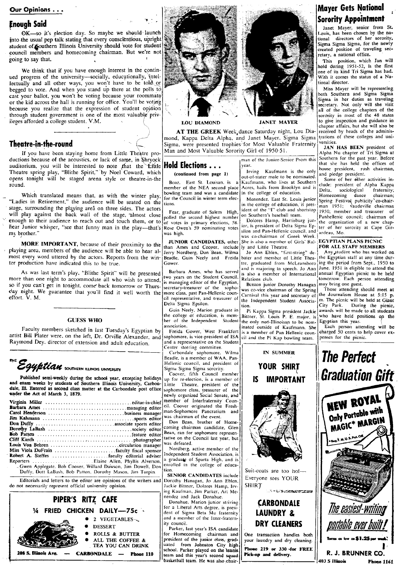#### Our Opinions . . .

**Enough Said** , OK-so it's election day. So maybe we should launch into .the usual pep talk stating that every conscientious, upright student of Southern Illinois University should vote for student council members and homecoming chairman. But we're not going to say that. <sup>I</sup>

We think that if you have enough interest in the continued progress of the university-socially, educationally, intellectually and all other ways, you won't have to be told or begged to vote. And when you stand up there at the polls to cast your ballot, you won't be voting because your roommate or the kid across the hall is running for office. You'll be because you realize that the expression of student opinion through student government is one of the most valuable privileges afforded a college student. V.M.

## Theatre-in-the-round

If you have been staying home from Little Theatre productions because of the acoustics, or lack of same, in Shryock auditorium, you will be interested to note that the  $E$ ittle Theatre spring play, "Blithe Spirit," 'by Noel Coward, which opens tonight will be staged arena style or theatre-in-the round.

Which translated means that, as with the winter play, "Ladies in Retirement," the audience will be seated on the tions. stage, surrounding the playing area on three sides. The actors will play against the back wall of the stage, almost close enough to their audience to reach out and touch them, or to hear Junior whisper, "see that funny man in the play-that's my brother."

MORE IMPORTANT, because of their proximity to the playing area, members of the audience will be able to hear almost every word uttered by the actors. Reports from the winter production have indicated this to be true.

As was last term's play, "Blithe Spirit" will be presented more than one night to accommodate all who wish to attend, so if you can't get in tonight. come' back tomorrow or Thurs day night. We guarantee that you'll find it well worth the effort. V. M.

#### GUESS WHO

artist Bill Plater were, on the left, Dr. Orville Alexander, and sophomore, is vice-president of ISA cit and the Pickap bowling team. Raymond Dey. director of extension and adult education. a representative on the Student - ------------------- nter steering committee.

Egyptian southern klinois university

Published semi-weekly during the school year, excepting holidays up for re-election, is a member of exam weeks by students of Southern Illinois University, Carbon-<br>
I.ittle Thearre, president of the III. Entered as second and exam weeks by students of Southern Illinois University, Carbon- Little Theatre, president of the dale, Ell wider the Act of March 3, 1879.

|                                                                                                                                                                                                                                     | cil. Coover originated the Fresh-                                              |
|-------------------------------------------------------------------------------------------------------------------------------------------------------------------------------------------------------------------------------------|--------------------------------------------------------------------------------|
|                                                                                                                                                                                                                                     | man-Sophomore Pancratium and                                                   |
|                                                                                                                                                                                                                                     | was chairman of the event.                                                     |
|                                                                                                                                                                                                                                     | Don Bean, brother of Home-                                                     |
|                                                                                                                                                                                                                                     | coming chairman candidate. Glen                                                |
|                                                                                                                                                                                                                                     | Bean, ran for sophomore represen-                                              |
|                                                                                                                                                                                                                                     | tative on the Council last year, but                                           |
|                                                                                                                                                                                                                                     | was defeated.                                                                  |
|                                                                                                                                                                                                                                     | Nordberg, active member of the                                                 |
|                                                                                                                                                                                                                                     | Independent Student Association, is                                            |
|                                                                                                                                                                                                                                     | a graduate of Sparta High, and is                                              |
| - Gwen Applegate. Bob Coover, Willard Dawson, Jim Dowell, Don<br>Duffy, Dott LaBash, Bob Patton, Dorothy Mason, Jim Turpin.<br>Editorials and letters to the editor are opinions of the writers and Dorothy Hanagan. Jo, Ann. Eblan | enrolled in the college of educa-<br>tion.<br><b>SENIOR CANDIDATES include</b> |

Editorials and letters to the editor are opinions of the writers and do not necessarily represent official university opinion.





mond. Kappa Delta Alpha, and Janet Mayer. Sigma Sigma unitions of these colleges and uni-AT THE GREEK Week, dance Saturday night, Lou Dia- received by heads of the adminis-<br>L. Kanna, Delta, Alpha, and Tanet Mayer, Sigma Sigma trations of these colleges and uni-Sigma, were presented trophies for Most Valuable Fraternity versities.<br>Man and Most Valuable Sorority Girl of 1950-51.<br>Alpha Nu chapter of Tri Sigma at Man and Most Valuable Sorority Girl of 1950-51.

Boaz, East St. Louisan, is a Kaufmann, who lives at Southern Some of her other activities in-<br>member of the NEA second place Acres, hails from Brooklyn and is clude: president of Alpha Kappa<br>bowling team and was a candidat bowling team and was a candidate in the college of education.  $\begin{array}{c} \text{Beta}, \text{social} \\ \text{Homecoming} \text{ dance} \text{ chairman}; \end{array}$ 

JUNIOR CANDIDATES, other She is also a member of Girls' Ral- LEGYPTIAN PLANS PICNIC<br>than Ames and Cooyer, include Iy and Little Theatre. FOR ALL STAFF MEMBERS<br>Jerry Nordberg, Don Bean. Wilma Jo Ann Eblen. "first-string" de

Barbara Ames, who has served is also a member of International annual Egyptian picnic to be held<br>two years on the Student Council. Relations club.<br>is managing editor of the Egyptian. Benton junior Dorothy Hanagan may bring is managing editor of the Egyptian, Renations crubs.<br>Secretary-treasurer of the sopho- was co-vice chairman of the Spring

Carbondale sophomore, Wilma Beadle. is a member of WAA. Pan-Hellenic council, and president of Sigma Sigma Sigma sorority.

Coover, fifth Council member<br>up for re-election, is a member of member of Interfraternity Counwas chairman of the event.

SENIOR CANDIDATES include Dorothy Hanagan, Jo Ann Eblen, Jackie Bittner, Dolores. Hamp. Irving Kaufman, Jim Parker, Art Menendez and Jack Donahue.<br>Donahue. Marion junior striving

for a Liberal Arts degree, is presi-dent of Sigma Beta Mu fraternity and a member of the Inter-fraternity council.

Parker. last year's ISA candidate for Homecoming chairman and president of the junior class, grad, you have the proposition City high I proposed from Johnston City high I proposed in the second control of the second control of the second control of the sec school. Parker played on the tennis<br>team and this year's second squad basketball team. He was also chair-



(continued from page 1) Irving Kaufmann is the only we house president.<br>
rush and pledge president.<br>
rush a Kaufmann who lives at Southern Some of her other activities in-

for the Council in winter term e1ec- . . . . Homecoming dance chairman; . Menendez. East St. ~OUl,S. JynlOr Spring Festival. puhli.city"'co-~hair-tions. In the college of educatIOn, IS pres- man 1951; VaudeVille chairman Fear, graduate of Salem High, ident of the ''I' club and shortstop 1950', member and treasurer of the treasurer of the ''I' club and shortstop 1950', member and treasurer of the treasurer of the ''I' club and shortstop 195

of votes in primary elections, 58. Dolores Hamp, Harrisburg jun-<br>Rose Owen's 59 nominating votes ior, is president of Delta Sigma Ep-<br>was high.<br>was high. Sigma Dan-Hellenic council, and ardeau, Mo.  $\begin{bmatrix} \text{us} & \text{mgn} \\ \text{us} & \text{to} \end{bmatrix}$  was co-chairman of Greek Week.  $\begin{bmatrix} \text{d} & \text{ucl} & \text{ucl} \\ \text{ucl} & \text{tcl} & \text{tcl} \end{bmatrix}$   $\begin{bmatrix} \text{us} & \text{ucl} & \text{ucl} \\ \text{ucl} & \text{ucl} & \text{ucl} \end{bmatrix}$   $\begin{bmatrix} \text{us} & \text{ucl} & \text{ucl} \\ \text{ucl} & \text{ucl} &$ 

Beadle, Guin Neely and Freida bater and member of Little Thea- ! the Egyptian staff at any time dur-<br>Gower. The Freida bater and member of Little Thea- ! the Egyptian staff at any time dur-<br>Gower. tre. graduated from McLeansboro ing the period from Sept., 1950 to and is majoring in speech. Jo Ann June, 1951 is eligible to attend the

secretary-treasurer of the sopho- was co-vice chairman of the Spring Those attending should meet at secretary of the Journalism House at 5:15 p. cil representative, and treasurer of the Independent Student Associa- m. The picnic will be held at Giant Delta Sigma Epsilon.

Guin Neely, Marion graduate in Pi Kappa Sigma president Jackie awards will be made to all students the college of education, is mem- Bittner. St. Louis P. E. major, is who have held positions on the

## **Sorority Appointment Mayer Gets National**

**Sorority Appointment**<br>Janet Mayer, senior from St.<br>Louis, has been chosen by the national directors of her sorority, Sigma Sigma Sigma. for the newly crea1ed position of traveling sec· retary. a national office.

This position, which Jan will<br>hold during 1951-52, is the first one of its kind Tri Sigma has had. With it comes the status of a National director.

Miss Mayer will be representing both Southern and Sigma Sigma Sigma in her duties as traveling<br>secretary. Not only will she visit all of the college chapters of the sorority in most of the 48 states LOU DIAMOND **JANET MAYER** to give inspection and guidance in chapter affairs, but she will also be<br>received by heads of the adminis-

man of the Junior-Senior Prom this Southern for the past year. Before From  $\frac{1}{2}$  (bat she has held the offices of<br>Irving Kaufmann is the only house president, rush chairman,

polled the second highest number on Southern's baseball team.<br>of votes in primary elections, 58. Dolores Hamp, Harrisburg jun-1the organization of a new chap-<br>Rose Owen's 59 nominating votes  $\frac{1}{2}$  Dolores Signa Ep-1ter



Guin Neely, Marion graduate in  $\begin{bmatrix} 1001 & 0 \\ 11 & 10 \\ 10 & 10 \end{bmatrix}$  is the and to all students the college of education, is mem-<br>the college of education, is mem-<br>berefore of the Independent Student Huber of Daughtain th Faculty members sketched in last Tuesday's Egyptian by<br>
Freida Gower, West Frankfort is a member of Pan Hellenic coun-<br>
Each person attending will be made to all students<br>
Each person attending will be made to all students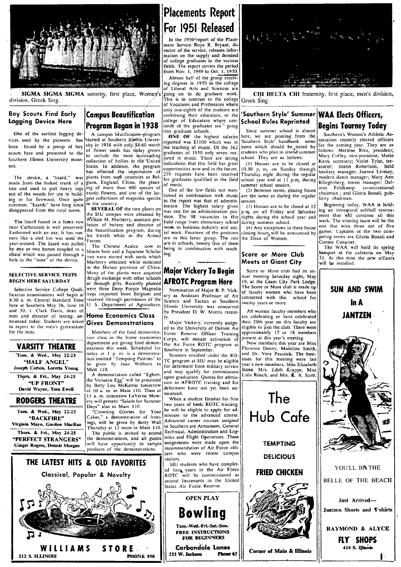

SIGMA SIGMA SIGMA sorority, first place, Women's division, Greek Sing.

#### **Boy Scouts Find Early** Logging Device Here

One of the earliest logging devices used by the pioneers has been found by a group of boy scouts here and presented to the Southern Illinois University museum.

The device, a "lizard," made from the forked trunk of a tree and used to pull heavy logs out of the woods for use in building or for firewood. Once quite common, "lizards" have long since disappeared from the rural scene.

The lizard found in a fence row near Carbondale is well preserved. Fashioned with an axe, it has runners like a sled but was used the, year-around. The lizard was pulled by one or two horses coupled to a bloom here and a Japanese Scholar chain which was passed through a<br>hole in the "nose" of the device.

#### **SELECTIVE SERVICE TESTS BEGIN HERE SATURDAY**

Selective Service College Qualification examinations will begin at 8:30 a. m. Central Standard Time here at Southern May 26, June 16 and 30, 1. Clark Davis, dean of men and director of testing, announced today. Students are asked to report to the men's gymnasium for the tests.

### **VARSITY THEATRE** Tues. & Wed., May 22-23

"HALF ANGEL" Joseph Cotton, Loretta Young Thurs. & Fri., May 24-25 "UP FRONT"

David Wayne, Tom Ewell

**RODGERS THEATRE** 

Tues. & Wed., May 22-23 "BACKFIRE" Virginia Mayo, Gordon MacRae

Thurs. & Fri., May 24-25 **"PERFECT STRANGERS" Ginger Rogers, Dennis Morgan** 

212 S. ILLINOIS

## **Campus Beautification** Program Began in 1938

A campus beatification-program started at Southern Illinois University in 1938 with only \$8.60 worth of flower seeds has today grown<br>to include the most outstanding collection of hollies in the United States. In addition, the program has effected the importation of

plants from such countries as Belgium, England, China, the planting of more than 400 species of exotic flowers, and one of the largest collections of magnolia species in the country

**SEVERAL OF** the rare plants on the SIU campus were obtained by William M. Marberry, assistant professor of botany and director of the beautification program, during his travels while in the Armed Forces.

The Chinese Azalea now in tree were started with seeds which Marberry obtained while stationed in the Hunan province of China. Many of the plants were acquired thrugh exchange with other schools or through gifts. Recently planted were three Deep Purple Magnolia<br>trees imported from Belgium and received through permission of the U. S. Department of Agriculture.

#### **Home Economics Class** Gives Demonstrations

Members of the food demonstration class in the home economics department are giving food demonstrations this week. Scheduled for today at 1 p.m. is a demonstra-<br>tion entitled "Tempting Pastries" to<br>be given by Jean Welborn in Main 110.

A demonstration called "Egbert, the Versatile Egg" will be presented<br>by Betty Lou McKemie tomorrow at 10 a. m. in Main 110. Then at 11 a. m. tomorrow LaVerne Mowery will present "Salads for Summer

"Crowning Glories for Your

the demonstrations, and all guests will have opportunity to sample<br>products of the demonstrations.

## Placements Report For 1951 Released

In the 1950-report of the Placement Service Roye R. Bryant, director of the service, releases information on the supply and demand of college graduates in the various fields. The report covers the period from Nov. 1, 1949 to Oct. 1, 1950. Almost half of the group receiving degrees in 1950 in the college of Liberal Arts and Sciences are

going on to do graduate work.<br>This is in contrast to the college of Vocations and Professions where only one-eighth of the students are continuing their education, or the college of Education where tenth of the graduates are going<br>into graduate schools.

ONE OF the highest salaries reported was \$3100 which was in the teaching of music. Of the 362 graduates of 1950 only seven maored in music. There are strong indications that this field has great opportunities now and in the future. for graduates qualified in the field of music.

One of the few fields not mentioned in combination with music in the report was that of administration. The highest salary given was one for an administration position. The 98 vacancies in this<br>field range from elementary school work to business industry and social work. Fourteen of the positions<br>are in this latter group. The rest are in schools, twenty five of them being in combination with teaching.

## Major Vickery To Begin **AFROTC Program Here**

Nomination of Major B. P. Vickery as Assistant Professor of Air Science and Tactics at Southern Illinois University was concurred<br>by President D. W. Morris recent-

Major Vickery, currently assign ed to the University of Detroit Air Force Reserve Officer Training Corps, will initiate activation of the Air Force ROTC program at Southern in September.

Students enrolled under the RO-TC program at SIU may be eligible for deferment from military service and may qualify for commissions<br>upon graduation. Quotas for admission to AFROTC training and for deferment have not yet been announced.

When a student finishes his first two years of basic ROTC training, he will be eligible to apply for admission to the advanced course. Advanced career courses assigned to Southern are Armament, General Technical, Administration and Logistics and Flight Operations. These assignments were made upon the recommendation of Air Force officers who were recent campus visitors.

SIU students who have completed four years in the Air Force will be commissioned as **ROTC** second lieutenants in the United States Air Force Reserve.

Phone 63





CHI DELTA CHI fraternity, first place, men's division, Greek Sing.

#### Southern Style' Summer WAA Elects Officers, **School Rules Reprinted**

Since summer school is almost here, we are printing from the<br>'Southern Style' handbook some items which should be noted by students who plan to attend summer school. They are as follows:

(1) Houses are to be closed at 10:30 p, m, on Sunday through requests have been received Thursday night during the regular school year and at 11 p.m. during summer school session.

(2) Between terms, closing hours are the same as during the regular session.

(3) Houses are to be closed at 12 p.m. on all Friday and Saturday nights during the school year and during summer school.

(4) Any exceptions to these house closing hours, will be announced by<br>the Dean of Women.

#### Score or More Club **Meets at Giant City**

Score or More club had its annual meeting Saturday night, May 19, at the Giant City Park Lodge. The Score or More club is made up of faculty women who have been<br>connected with this school for twenty years or more.

All women faculty members who re celebrating or have celebrated their 20th year on this faculty are eligible to join the club. There were approximately 17 or 18 members present at this year's meeting.

New members this year are Miss Florence Denny, Madeline Smith, and Dr. Vera Peacock. The hostesses for this meeting were last year's new members, Miss Elizabeth<br>Stone, Mrs. Edith Krappe, Miss<br>Lulu Roach, and Mrs. R. A. Scott.

The

Hub Cafe

**TEMPTING** 

**DELICIOUS** 

**FRIED CHICKEN** 

**Corner of Main & Illinois** 



Southern's Women's Athletic Asociation recently elected officers for the coming year. They are as follows: Merlene Riva, president; Mary Coffey, vice-president; Marie Kern, secretary; Violet Tyler, tre-<br>asurer; Joann Robertson, field field hockery manager; Joanne Livesay, modern dance manager; Mary Ann Klingenberg, tennis manager; Del-<br>ores Feldkamp. co-recreational co-recreational chairman; and Gloria Bonali, publicity chairman.

Beginning today, WAA is holding an intramural softball tournament that will continue all this week. The winning team will be the one that wins three out of five games. Captains of the two competing teams are Gloria Bonali and Connie Conatser.

The WAA will hold its spring banquet at the cafeteria on May At this time the new officers 31. will be installed.





THE LATEST HITS & OLD FAVORITES

Days" also in Main 110.

Cakes," a demonstration of frost-<br>ings, will be given by Betty Wall<br>Thursday at 12 noon in Main 110. The public is invited to attend